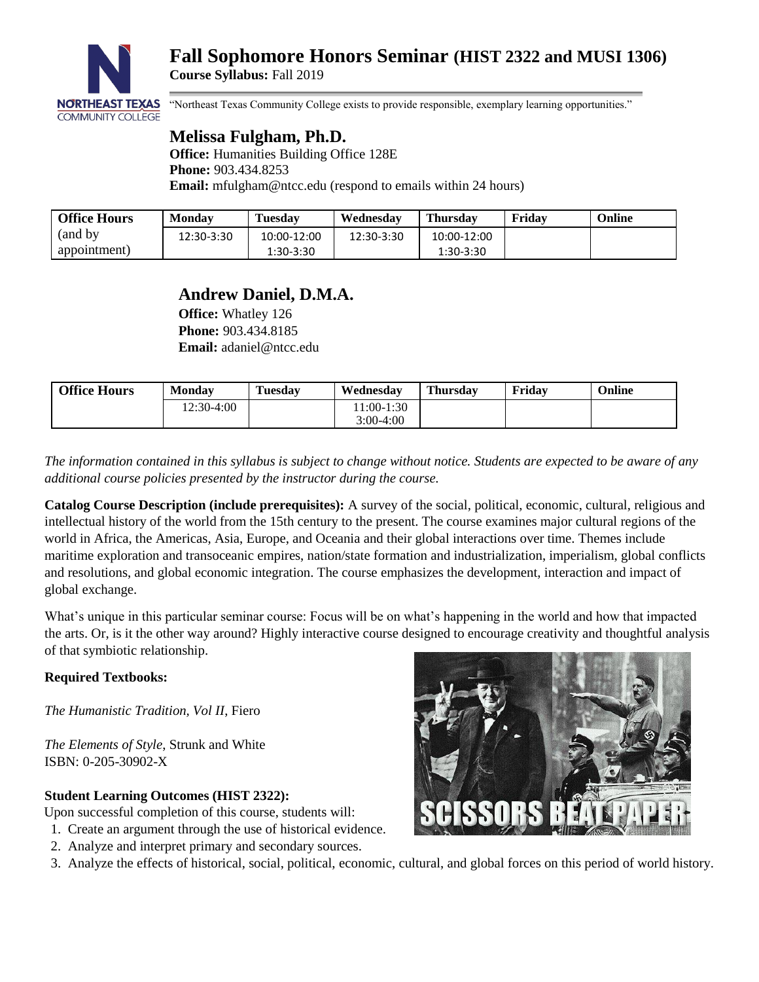

# **Fall Sophomore Honors Seminar (HIST 2322 and MUSI 1306) Course Syllabus:** Fall 2019

"Northeast Texas Community College exists to provide responsible, exemplary learning opportunities."

## **Melissa Fulgham, Ph.D.**

**Office:** Humanities Building Office 128E **Phone:** 903.434.8253 **Email:** [mfulgham@ntcc.edu](mailto:mfulgham@ntcc.edu) (respond to emails within 24 hours)

| <b>Office Hours</b> | Mondav     | <b>Tuesday</b> | Wednesdav  | <b>Thursday</b> | Fridav | Online |
|---------------------|------------|----------------|------------|-----------------|--------|--------|
| (and by)            | 12:30-3:30 | 10:00-12:00    | 12:30-3:30 | 10:00-12:00     |        |        |
| appointment)        |            | 1:30-3:30      |            | 1:30-3:30       |        |        |

## **Andrew Daniel, D.M.A.**

**Office:** Whatley 126 **Phone:** 903.434.8185 **Email:** [adaniel@ntcc.edu](mailto:adaniel@ntcc.edu)

| <b>Office Hours</b> | <b>Monday</b> | Tuesdav | Wednesdav                | Thursdav | Fridav | Online |
|---------------------|---------------|---------|--------------------------|----------|--------|--------|
|                     | 12:30-4:00    |         | $1:00-1:30$<br>3:00-4:00 |          |        |        |
|                     |               |         |                          |          |        |        |

*The information contained in this syllabus is subject to change without notice. Students are expected to be aware of any additional course policies presented by the instructor during the course.*

**Catalog Course Description (include prerequisites):** A survey of the social, political, economic, cultural, religious and intellectual history of the world from the 15th century to the present. The course examines major cultural regions of the world in Africa, the Americas, Asia, Europe, and Oceania and their global interactions over time. Themes include maritime exploration and transoceanic empires, nation/state formation and industrialization, imperialism, global conflicts and resolutions, and global economic integration. The course emphasizes the development, interaction and impact of global exchange.

What's unique in this particular seminar course: Focus will be on what's happening in the world and how that impacted the arts. Or, is it the other way around? Highly interactive course designed to encourage creativity and thoughtful analysis of that symbiotic relationship.

## **Required Textbooks:**

*The Humanistic Tradition, Vol II*, Fiero

*The Elements of Style*, Strunk and White ISBN: 0-205-30902-X

## **Student Learning Outcomes (HIST 2322):**

- Upon successful completion of this course, students will:
- 1. Create an argument through the use of historical evidence.
- 2. Analyze and interpret primary and secondary sources.
- 3. Analyze the effects of historical, social, political, economic, cultural, and global forces on this period of world history.

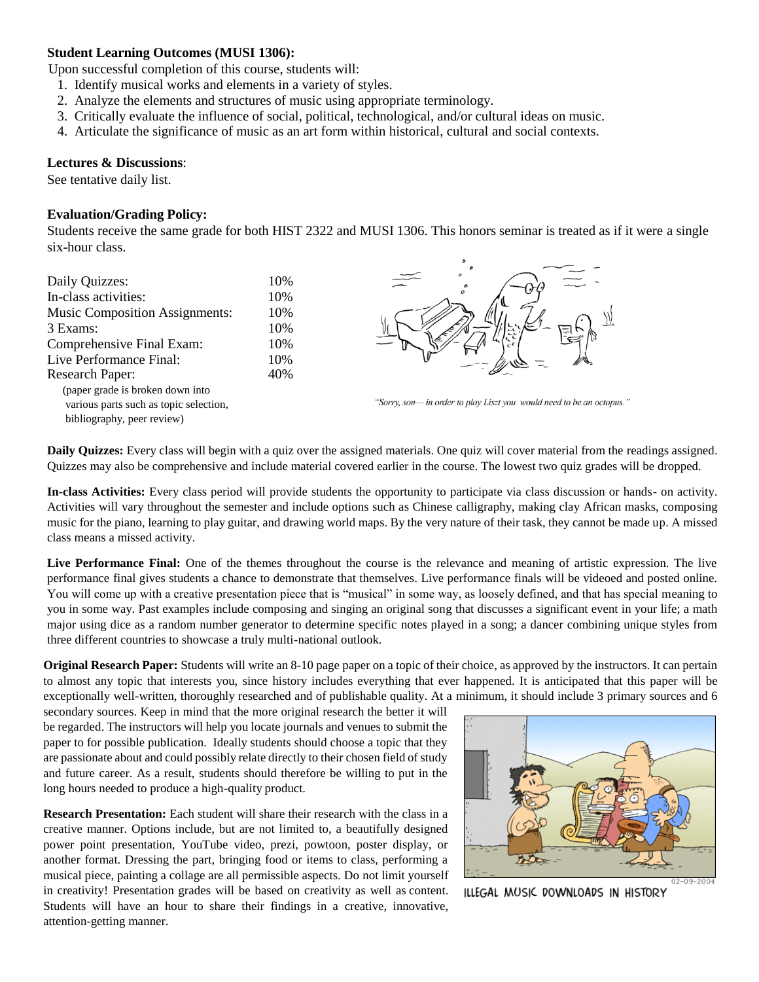### **Student Learning Outcomes (MUSI 1306):**

Upon successful completion of this course, students will:

- 1. Identify musical works and elements in a variety of styles.
- 2. Analyze the elements and structures of music using appropriate terminology.
- 3. Critically evaluate the influence of social, political, technological, and/or cultural ideas on music.
- 4. Articulate the significance of music as an art form within historical, cultural and social contexts.

#### **Lectures & Discussions**:

See tentative daily list.

#### **Evaluation/Grading Policy:**

Students receive the same grade for both HIST 2322 and MUSI 1306. This honors seminar is treated as if it were a single six-hour class.

| Daily Quizzes:                         | 10% |
|----------------------------------------|-----|
| In-class activities:                   | 10% |
| <b>Music Composition Assignments:</b>  | 10% |
| 3 Exams:                               | 10% |
| Comprehensive Final Exam:              | 10% |
| Live Performance Final:                | 10% |
| Research Paper:                        | 40% |
| (paper grade is broken down into       |     |
| various parts such as topic selection, |     |
| bibliography, peer review)             |     |
|                                        |     |



"Sorry, son- in order to play Liszt you would need to be an octopus."

**Daily Quizzes:** Every class will begin with a quiz over the assigned materials. One quiz will cover material from the readings assigned. Quizzes may also be comprehensive and include material covered earlier in the course. The lowest two quiz grades will be dropped.

**In-class Activities:** Every class period will provide students the opportunity to participate via class discussion or hands- on activity. Activities will vary throughout the semester and include options such as Chinese calligraphy, making clay African masks, composing music for the piano, learning to play guitar, and drawing world maps. By the very nature of their task, they cannot be made up. A missed class means a missed activity.

**Live Performance Final:** One of the themes throughout the course is the relevance and meaning of artistic expression. The live performance final gives students a chance to demonstrate that themselves. Live performance finals will be videoed and posted online. You will come up with a creative presentation piece that is "musical" in some way, as loosely defined, and that has special meaning to you in some way. Past examples include composing and singing an original song that discusses a significant event in your life; a math major using dice as a random number generator to determine specific notes played in a song; a dancer combining unique styles from three different countries to showcase a truly multi-national outlook.

**Original Research Paper:** Students will write an 8-10 page paper on a topic of their choice, as approved by the instructors. It can pertain to almost any topic that interests you, since history includes everything that ever happened. It is anticipated that this paper will be exceptionally well-written, thoroughly researched and of publishable quality. At a minimum, it should include 3 primary sources and 6

secondary sources. Keep in mind that the more original research the better it will be regarded. The instructors will help you locate journals and venues to submit the paper to for possible publication. Ideally students should choose a topic that they are passionate about and could possibly relate directly to their chosen field of study and future career. As a result, students should therefore be willing to put in the long hours needed to produce a high-quality product.

**Research Presentation:** Each student will share their research with the class in a creative manner. Options include, but are not limited to, a beautifully designed power point presentation, YouTube video, prezi, powtoon, poster display, or another format. Dressing the part, bringing food or items to class, performing a musical piece, painting a collage are all permissible aspects. Do not limit yourself in creativity! Presentation grades will be based on creativity as well as content. Students will have an hour to share their findings in a creative, innovative, attention-getting manner.



ILLEGAL MUSIC DOWNLOADS IN HISTORY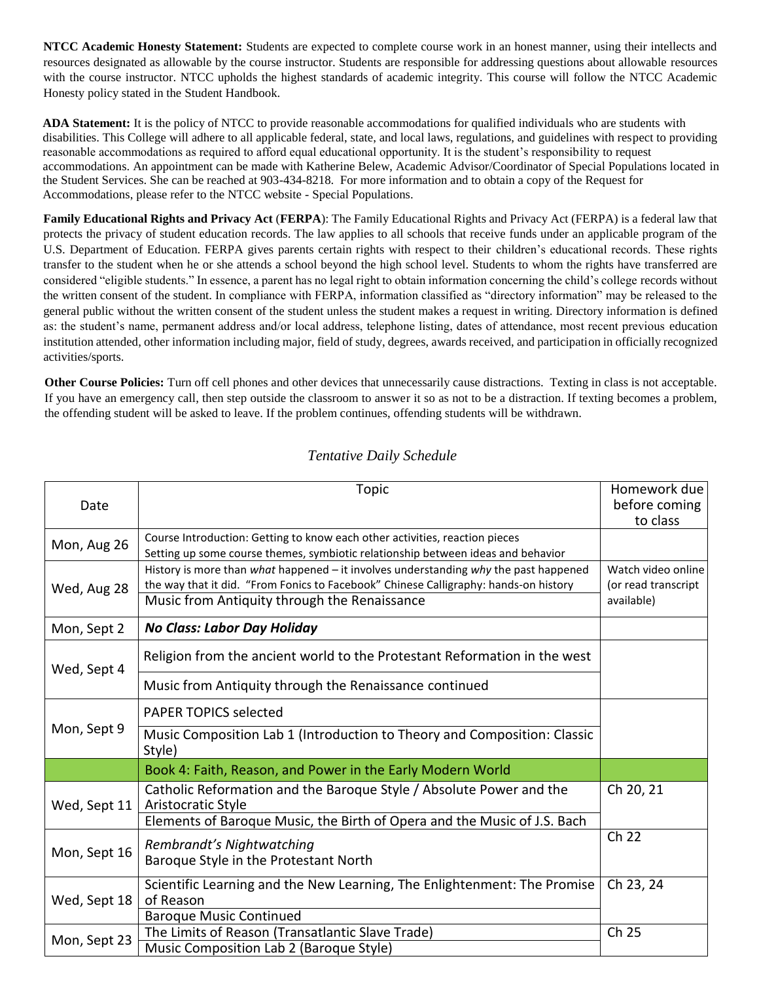**NTCC Academic Honesty Statement:** Students are expected to complete course work in an honest manner, using their intellects and resources designated as allowable by the course instructor. Students are responsible for addressing questions about allowable resources with the course instructor. NTCC upholds the highest standards of academic integrity. This course will follow the NTCC Academic Honesty policy stated in the Student Handbook.

**ADA Statement:** It is the policy of NTCC to provide reasonable accommodations for qualified individuals who are students with disabilities. This College will adhere to all applicable federal, state, and local laws, regulations, and guidelines with respect to providing reasonable accommodations as required to afford equal educational opportunity. It is the student's responsibility to request accommodations. An appointment can be made with Katherine Belew, Academic Advisor/Coordinator of Special Populations located in the Student Services. She can be reached at 903-434-8218. For more information and to obtain a copy of the Request for Accommodations, please refer to the NTCC website - Special Populations.

**Family Educational Rights and Privacy Act** (**FERPA**): The Family Educational Rights and Privacy Act (FERPA) is a federal law that protects the privacy of student education records. The law applies to all schools that receive funds under an applicable program of the U.S. Department of Education. FERPA gives parents certain rights with respect to their children's educational records. These rights transfer to the student when he or she attends a school beyond the high school level. Students to whom the rights have transferred are considered "eligible students." In essence, a parent has no legal right to obtain information concerning the child's college records without the written consent of the student. In compliance with FERPA, information classified as "directory information" may be released to the general public without the written consent of the student unless the student makes a request in writing. Directory information is defined as: the student's name, permanent address and/or local address, telephone listing, dates of attendance, most recent previous education institution attended, other information including major, field of study, degrees, awards received, and participation in officially recognized activities/sports.

**Other Course Policies:** Turn off cell phones and other devices that unnecessarily cause distractions. Texting in class is not acceptable. If you have an emergency call, then step outside the classroom to answer it so as not to be a distraction. If texting becomes a problem, the offending student will be asked to leave. If the problem continues, offending students will be withdrawn.

| Date         | <b>Topic</b>                                                                                                                                                                                                                 | Homework due<br>before coming<br>to class               |
|--------------|------------------------------------------------------------------------------------------------------------------------------------------------------------------------------------------------------------------------------|---------------------------------------------------------|
| Mon, Aug 26  | Course Introduction: Getting to know each other activities, reaction pieces<br>Setting up some course themes, symbiotic relationship between ideas and behavior                                                              |                                                         |
| Wed, Aug 28  | History is more than what happened - it involves understanding why the past happened<br>the way that it did. "From Fonics to Facebook" Chinese Calligraphy: hands-on history<br>Music from Antiquity through the Renaissance | Watch video online<br>(or read transcript<br>available) |
| Mon, Sept 2  | No Class: Labor Day Holiday                                                                                                                                                                                                  |                                                         |
| Wed, Sept 4  | Religion from the ancient world to the Protestant Reformation in the west                                                                                                                                                    |                                                         |
|              | Music from Antiquity through the Renaissance continued                                                                                                                                                                       |                                                         |
| Mon, Sept 9  | <b>PAPER TOPICS selected</b>                                                                                                                                                                                                 |                                                         |
|              | Music Composition Lab 1 (Introduction to Theory and Composition: Classic<br>Style)                                                                                                                                           |                                                         |
|              | Book 4: Faith, Reason, and Power in the Early Modern World                                                                                                                                                                   |                                                         |
| Wed, Sept 11 | Catholic Reformation and the Baroque Style / Absolute Power and the<br>Aristocratic Style                                                                                                                                    | Ch 20, 21                                               |
|              | Elements of Baroque Music, the Birth of Opera and the Music of J.S. Bach                                                                                                                                                     |                                                         |
| Mon, Sept 16 | Rembrandt's Nightwatching<br>Baroque Style in the Protestant North                                                                                                                                                           | Ch 22                                                   |
| Wed, Sept 18 | Scientific Learning and the New Learning, The Enlightenment: The Promise<br>of Reason<br><b>Baroque Music Continued</b>                                                                                                      | Ch 23, 24                                               |
| Mon, Sept 23 | The Limits of Reason (Transatlantic Slave Trade)<br>Music Composition Lab 2 (Baroque Style)                                                                                                                                  | Ch 25                                                   |

## *Tentative Daily Schedule*